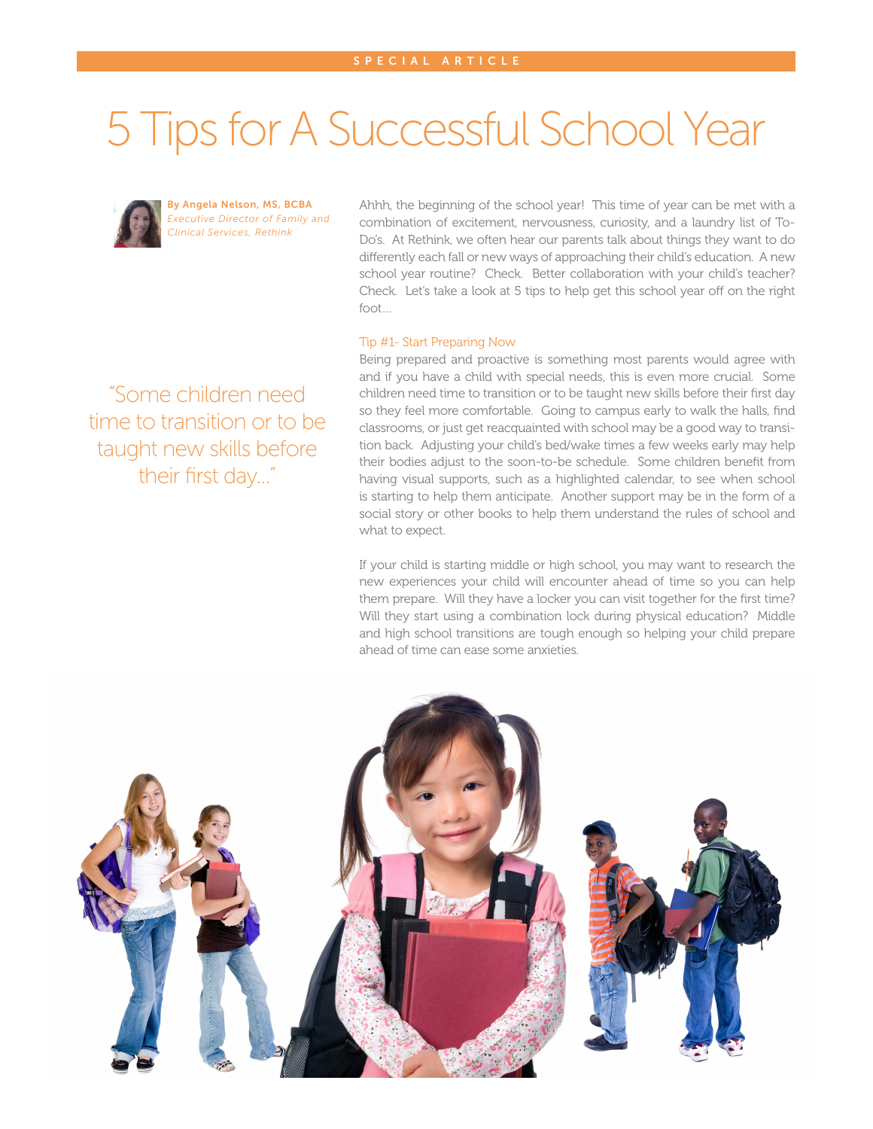# 5 Tips for A Successful School Year



By Angela Nelson, MS, BCBA *Executive Director of Family and Clinical Services, Rethink*

Ahhh, the beginning of the school year! This time of year can be met with a combination of excitement, nervousness, curiosity, and a laundry list of To-Do's. At Rethink, we often hear our parents talk about things they want to do differently each fall or new ways of approaching their child's education. A new school year routine? Check. Better collaboration with your child's teacher? Check. Let's take a look at 5 tips to help get this school year off on the right foot…

### Tip #1- Start Preparing Now

Being prepared and proactive is something most parents would agree with and if you have a child with special needs, this is even more crucial. Some children need time to transition or to be taught new skills before their first day so they feel more comfortable. Going to campus early to walk the halls, find classrooms, or just get reacquainted with school may be a good way to transition back. Adjusting your child's bed/wake times a few weeks early may help their bodies adjust to the soon-to-be schedule. Some children benefit from having visual supports, such as a highlighted calendar, to see when school is starting to help them anticipate. Another support may be in the form of a social story or other books to help them understand the rules of school and what to expect.

If your child is starting middle or high school, you may want to research the new experiences your child will encounter ahead of time so you can help them prepare. Will they have a locker you can visit together for the first time? Will they start using a combination lock during physical education? Middle and high school transitions are tough enough so helping your child prepare ahead of time can ease some anxieties.



"Some children need time to transition or to be taught new skills before their first day..."